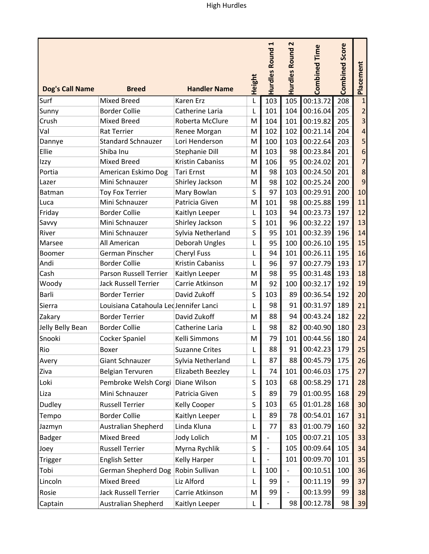|                        |                             |                                        |        | H                        | $\mathbf{z}$             |                      |                       |           |
|------------------------|-----------------------------|----------------------------------------|--------|--------------------------|--------------------------|----------------------|-----------------------|-----------|
| <b>Dog's Call Name</b> | <b>Breed</b>                | <b>Handler Name</b>                    | Height | <b>Hurdles Round</b>     | <b>Hurdles Round</b>     | <b>Combined Time</b> | <b>Combined Score</b> | Placement |
| Surf                   | <b>Mixed Breed</b>          | Karen Erz                              | L      | 103                      | 105                      | 00:13.72             | 208                   |           |
| Sunny                  | <b>Border Collie</b>        | Catherine Laria                        | L      | 101                      | 104                      | 00:16.04             | 205                   |           |
| Crush                  | <b>Mixed Breed</b>          | Roberta McClure                        | M      | 104                      | 101                      | 00:19.82             | 205                   |           |
| Val                    | <b>Rat Terrier</b>          | Renee Morgan                           | M      | 102                      | 102                      | 00:21.14             | 204                   |           |
| Dannye                 | <b>Standard Schnauzer</b>   | Lori Henderson                         | M      | 100                      | 103                      | 00:22.64             | 203                   |           |
| Ellie                  | Shiba Inu                   | Stephanie Dill                         | M      | 103                      | 98                       | 00:23.84             | 201                   | 6         |
| Izzy                   | <b>Mixed Breed</b>          | Kristin Cabaniss                       | M      | 106                      | 95                       | 00:24.02             | 201                   | 7         |
| Portia                 | American Eskimo Dog         | <b>Tari Ernst</b>                      | M      | 98                       | 103                      | 00:24.50             | 201                   | 8         |
| Lazer                  | Mini Schnauzer              | Shirley Jackson                        | M      | 98                       | 102                      | 00:25.24             | 200                   | 9         |
| Batman                 | <b>Toy Fox Terrier</b>      | Mary Bowlan                            | S      | 97                       | 103                      | 00:29.91             | 200                   | 10        |
| Luca                   | Mini Schnauzer              | Patricia Given                         | M      | 101                      | 98                       | 00:25.88             | 199                   | 11        |
| Friday                 | <b>Border Collie</b>        | Kaitlyn Leeper                         | L      | 103                      | 94                       | 00:23.73             | 197                   | 12        |
| Savvy                  | Mini Schnauzer              | Shirley Jackson                        | S      | 101                      | 96                       | 00:32.22             | 197                   | 13        |
| River                  | Mini Schnauzer              | Sylvia Netherland                      | S      | 95                       | 101                      | 00:32.39             | 196                   | 14        |
| Marsee                 | All American                | Deborah Ungles                         | L      | 95                       | 100                      | 00:26.10             | 195                   | 15        |
| Boomer                 | German Pinscher             | <b>Cheryl Fuss</b>                     | L      | 94                       | 101                      | 00:26.11             | 195                   | 16        |
| Andi                   | <b>Border Collie</b>        | Kristin Cabaniss                       | L      | 96                       | 97                       | 00:27.79             | 193                   | 17        |
| Cash                   | Parson Russell Terrier      | Kaitlyn Leeper                         | M      | 98                       | 95                       | 00:31.48             | 193                   | 18        |
| Woody                  | <b>Jack Russell Terrier</b> | Carrie Atkinson                        | M      | 92                       | 100                      | 00:32.17             | 192                   | 19        |
| Barli                  | <b>Border Terrier</b>       | David Zukoff                           | S      | 103                      | 89                       | 00:36.54             | 192                   | 20        |
| Sierra                 |                             | Louisiana Catahoula Lec Jennifer Lanci |        | 98                       | 91                       | 00:31.97             | 189                   | 21        |
| Zakary                 | <b>Border Terrier</b>       | David Zukoff                           | M      | 88                       | 94                       | 00:43.24             | 182                   | 22        |
| Jelly Belly Bean       | <b>Border Collie</b>        | Catherine Laria                        | L      | 98                       | 82                       | 00:40.90             | 180                   | 23        |
| Snooki                 | Cocker Spaniel              | Kelli Simmons                          | M      | 79                       | 101                      | 00:44.56             | 180                   | 24        |
| Rio                    | Boxer                       | <b>Suzanne Crites</b>                  |        | 88                       | 91                       | 00:42.23             | 179                   | 25        |
| Avery                  | Giant Schnauzer             | Sylvia Netherland                      | L      | 87                       | 88                       | 00:45.79             | 175                   | 26        |
| Ziva                   | Belgian Tervuren            | Elizabeth Beezley                      | L      | 74                       | 101                      | 00:46.03             | 175                   | 27        |
| Loki                   | Pembroke Welsh Corgi        | Diane Wilson                           | S      | 103                      | 68                       | 00:58.29             | 171                   | 28        |
| Liza                   | Mini Schnauzer              | Patricia Given                         | S      | 89                       | 79                       | 01:00.95             | 168                   | 29        |
| Dudley                 | <b>Russell Terrier</b>      | Kelly Cooper                           | S      | 103                      | 65                       | 01:01.28             | 168                   | 30        |
| Tempo                  | <b>Border Collie</b>        | Kaitlyn Leeper                         | L      | 89                       | 78                       | 00:54.01             | 167                   | 31        |
|                        |                             |                                        |        | 77                       | 83                       | 01:00.79             | 160                   |           |
| Jazmyn                 | Australian Shepherd         | Linda Kluna                            | L      |                          |                          |                      |                       | 32        |
| <b>Badger</b>          | <b>Mixed Breed</b>          | Jody Lolich                            | M      | $\overline{\phantom{a}}$ | 105                      | 00:07.21             | 105                   | 33        |
| Joey                   | <b>Russell Terrier</b>      | Myrna Rychlik                          | S      |                          | 105                      | 00:09.64             | 105                   | 34        |
| <b>Trigger</b>         | <b>English Setter</b>       | Kelly Harper                           | L      |                          | 101                      | 00:09.70             | 101                   | 35        |
| Tobi                   | German Shepherd Dog         | Robin Sullivan                         | L      | 100                      | $\overline{\phantom{a}}$ | 00:10.51             | 100                   | 36        |
| Lincoln                | <b>Mixed Breed</b>          | Liz Alford                             | L      | 99                       | $\blacksquare$           | 00:11.19             | 99                    | 37        |
| Rosie                  | Jack Russell Terrier        | Carrie Atkinson                        | M      | 99                       | $\overline{a}$           | 00:13.99             | 99                    | 38        |
| Captain                | Australian Shepherd         | Kaitlyn Leeper                         | L      |                          | 98                       | 00:12.78             | 98                    | 39        |